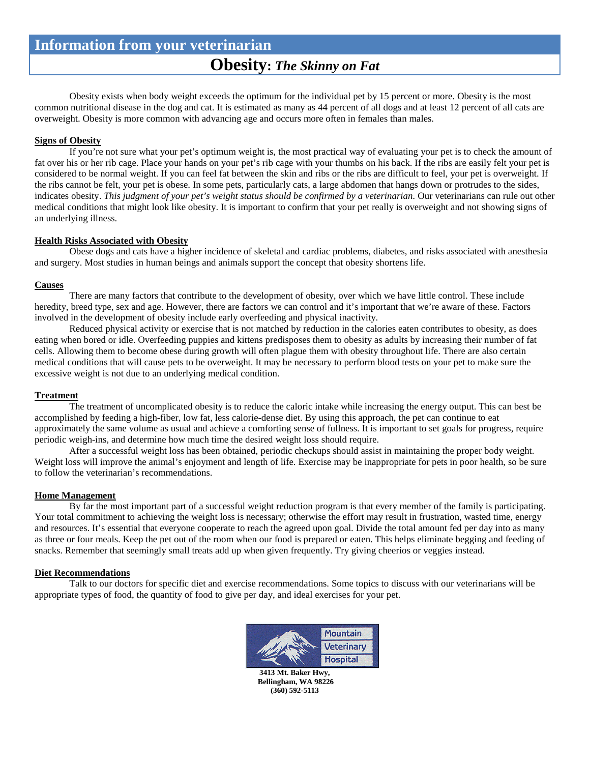# **Obesity:** *The Skinny on Fat*

Obesity exists when body weight exceeds the optimum for the individual pet by 15 percent or more. Obesity is the most common nutritional disease in the dog and cat. It is estimated as many as 44 percent of all dogs and at least 12 percent of all cats are overweight. Obesity is more common with advancing age and occurs more often in females than males.

## **Signs of Obesity**

If you're not sure what your pet's optimum weight is, the most practical way of evaluating your pet is to check the amount of fat over his or her rib cage. Place your hands on your pet's rib cage with your thumbs on his back. If the ribs are easily felt your pet is considered to be normal weight. If you can feel fat between the skin and ribs or the ribs are difficult to feel, your pet is overweight. If the ribs cannot be felt, your pet is obese. In some pets, particularly cats, a large abdomen that hangs down or protrudes to the sides, indicates obesity. *This judgment of your pet's weight status should be confirmed by a veterinarian.* Our veterinarians can rule out other medical conditions that might look like obesity. It is important to confirm that your pet really is overweight and not showing signs of an underlying illness.

## **Health Risks Associated with Obesity**

Obese dogs and cats have a higher incidence of skeletal and cardiac problems, diabetes, and risks associated with anesthesia and surgery. Most studies in human beings and animals support the concept that obesity shortens life.

## **Causes**

There are many factors that contribute to the development of obesity, over which we have little control. These include heredity, breed type, sex and age. However, there are factors we can control and it's important that we're aware of these. Factors involved in the development of obesity include early overfeeding and physical inactivity.

Reduced physical activity or exercise that is not matched by reduction in the calories eaten contributes to obesity, as does eating when bored or idle. Overfeeding puppies and kittens predisposes them to obesity as adults by increasing their number of fat cells. Allowing them to become obese during growth will often plague them with obesity throughout life. There are also certain medical conditions that will cause pets to be overweight. It may be necessary to perform blood tests on your pet to make sure the excessive weight is not due to an underlying medical condition.

## **Treatment**

The treatment of uncomplicated obesity is to reduce the caloric intake while increasing the energy output. This can best be accomplished by feeding a high-fiber, low fat, less calorie-dense diet. By using this approach, the pet can continue to eat approximately the same volume as usual and achieve a comforting sense of fullness. It is important to set goals for progress, require periodic weigh-ins, and determine how much time the desired weight loss should require.

After a successful weight loss has been obtained, periodic checkups should assist in maintaining the proper body weight. Weight loss will improve the animal's enjoyment and length of life. Exercise may be inappropriate for pets in poor health, so be sure to follow the veterinarian's recommendations.

## **Home Management**

By far the most important part of a successful weight reduction program is that every member of the family is participating. Your total commitment to achieving the weight loss is necessary; otherwise the effort may result in frustration, wasted time, energy and resources. It's essential that everyone cooperate to reach the agreed upon goal. Divide the total amount fed per day into as many as three or four meals. Keep the pet out of the room when our food is prepared or eaten. This helps eliminate begging and feeding of snacks. Remember that seemingly small treats add up when given frequently. Try giving cheerios or veggies instead.

## **Diet Recommendations**

Talk to our doctors for specific diet and exercise recommendations. Some topics to discuss with our veterinarians will be appropriate types of food, the quantity of food to give per day, and ideal exercises for your pet.



**3413 Mt. Baker Hwy, Bellingham, WA 98226 (360) 592-5113**